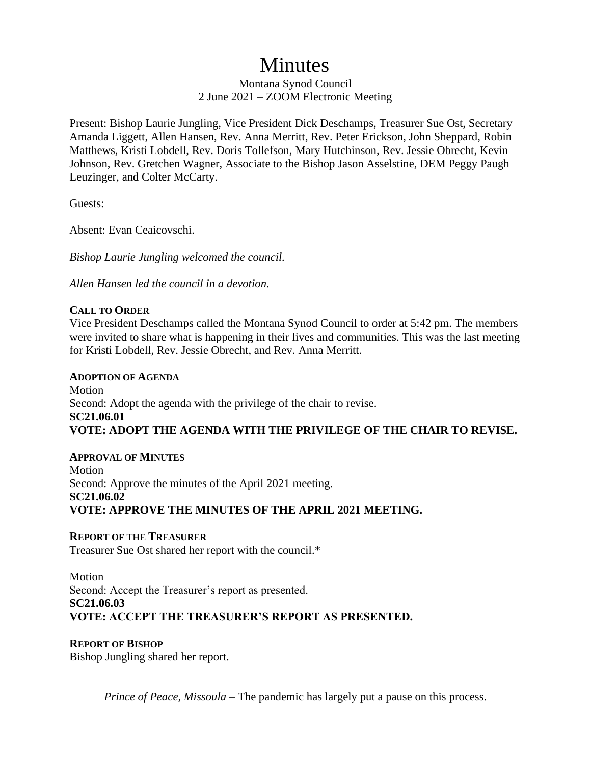# Minutes

# Montana Synod Council 2 June 2021 – ZOOM Electronic Meeting

Present: Bishop Laurie Jungling, Vice President Dick Deschamps, Treasurer Sue Ost, Secretary Amanda Liggett, Allen Hansen, Rev. Anna Merritt, Rev. Peter Erickson, John Sheppard, Robin Matthews, Kristi Lobdell, Rev. Doris Tollefson, Mary Hutchinson, Rev. Jessie Obrecht, Kevin Johnson, Rev. Gretchen Wagner, Associate to the Bishop Jason Asselstine, DEM Peggy Paugh Leuzinger, and Colter McCarty.

Guests:

Absent: Evan Ceaicovschi.

*Bishop Laurie Jungling welcomed the council.* 

*Allen Hansen led the council in a devotion.* 

## **CALL TO ORDER**

Vice President Deschamps called the Montana Synod Council to order at 5:42 pm. The members were invited to share what is happening in their lives and communities. This was the last meeting for Kristi Lobdell, Rev. Jessie Obrecht, and Rev. Anna Merritt.

**ADOPTION OF AGENDA** Motion Second: Adopt the agenda with the privilege of the chair to revise. **SC21.06.01 VOTE: ADOPT THE AGENDA WITH THE PRIVILEGE OF THE CHAIR TO REVISE.** 

## **APPROVAL OF MINUTES Motion** Second: Approve the minutes of the April 2021 meeting. **SC21.06.02 VOTE: APPROVE THE MINUTES OF THE APRIL 2021 MEETING.**

#### **REPORT OF THE TREASURER**

Treasurer Sue Ost shared her report with the council.\*

# **Motion** Second: Accept the Treasurer's report as presented. **SC21.06.03 VOTE: ACCEPT THE TREASURER'S REPORT AS PRESENTED.**

#### **REPORT OF BISHOP**

Bishop Jungling shared her report.

*Prince of Peace, Missoula* – The pandemic has largely put a pause on this process.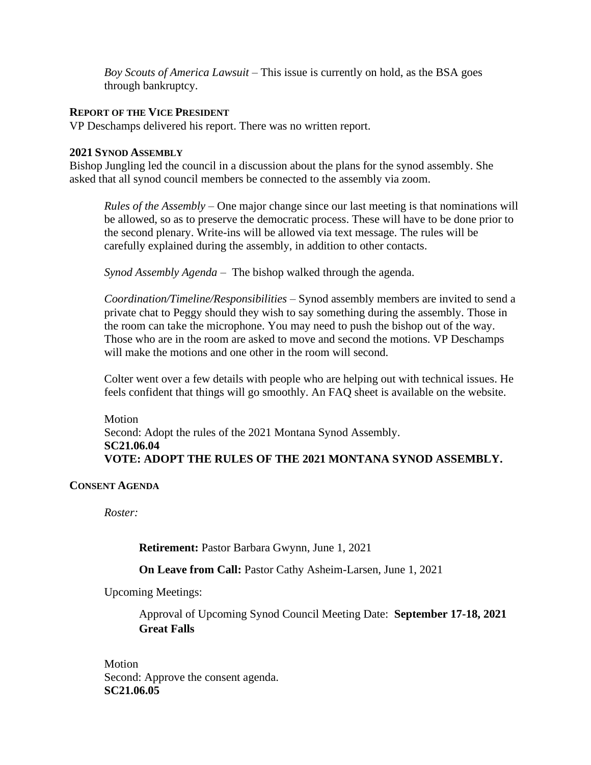*Boy Scouts of America Lawsuit* – This issue is currently on hold, as the BSA goes through bankruptcy.

#### **REPORT OF THE VICE PRESIDENT**

VP Deschamps delivered his report. There was no written report.

#### **2021 SYNOD ASSEMBLY**

Bishop Jungling led the council in a discussion about the plans for the synod assembly. She asked that all synod council members be connected to the assembly via zoom.

*Rules of the Assembly* – One major change since our last meeting is that nominations will be allowed, so as to preserve the democratic process. These will have to be done prior to the second plenary. Write-ins will be allowed via text message. The rules will be carefully explained during the assembly, in addition to other contacts.

*Synod Assembly Agenda* – The bishop walked through the agenda.

*Coordination/Timeline/Responsibilities* – Synod assembly members are invited to send a private chat to Peggy should they wish to say something during the assembly. Those in the room can take the microphone. You may need to push the bishop out of the way. Those who are in the room are asked to move and second the motions. VP Deschamps will make the motions and one other in the room will second.

Colter went over a few details with people who are helping out with technical issues. He feels confident that things will go smoothly. An FAQ sheet is available on the website.

Motion Second: Adopt the rules of the 2021 Montana Synod Assembly. **SC21.06.04 VOTE: ADOPT THE RULES OF THE 2021 MONTANA SYNOD ASSEMBLY.**

#### **CONSENT AGENDA**

*Roster:*

**Retirement:** Pastor Barbara Gwynn, June 1, 2021

#### **On Leave from Call:** Pastor Cathy Asheim-Larsen, June 1, 2021

Upcoming Meetings:

Approval of Upcoming Synod Council Meeting Date: **September 17-18, 2021 Great Falls**

Motion Second: Approve the consent agenda. **SC21.06.05**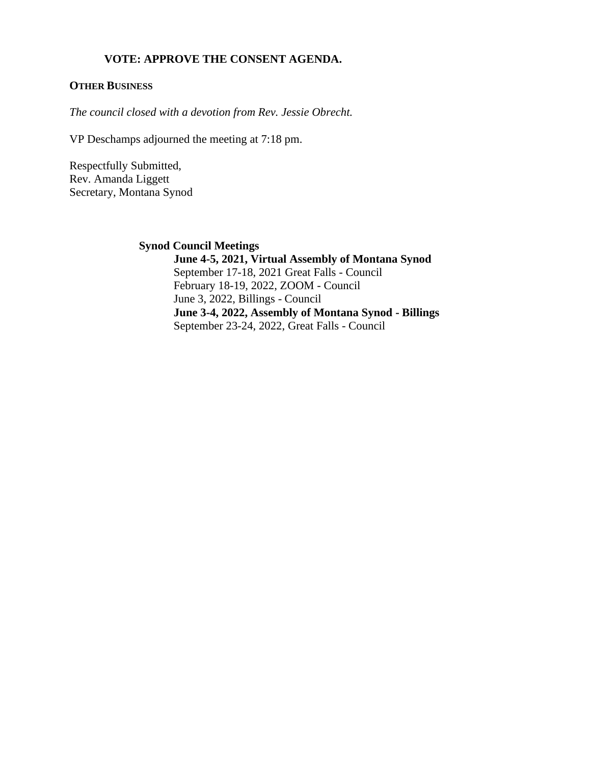## **VOTE: APPROVE THE CONSENT AGENDA.**

#### **OTHER BUSINESS**

*The council closed with a devotion from Rev. Jessie Obrecht.*

VP Deschamps adjourned the meeting at 7:18 pm.

Respectfully Submitted, Rev. Amanda Liggett Secretary, Montana Synod

**Synod Council Meetings**

**June 4-5, 2021, Virtual Assembly of Montana Synod** September 17-18, 2021 Great Falls - Council February 18-19, 2022, ZOOM - Council June 3, 2022, Billings - Council **June 3-4, 2022, Assembly of Montana Synod - Billings** September 23-24, 2022, Great Falls - Council